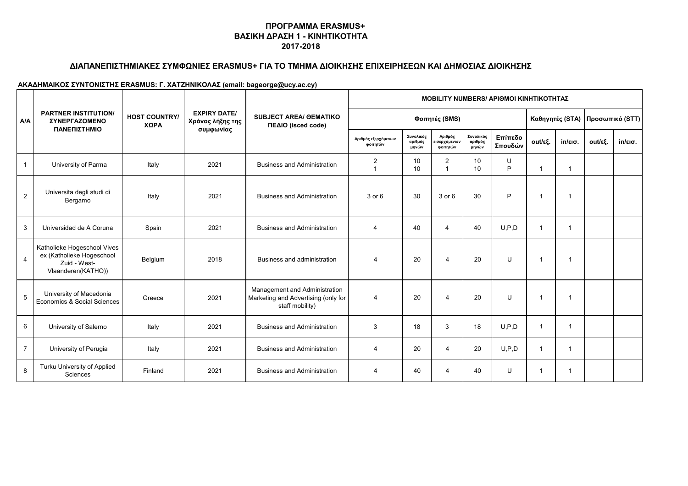## **ΔΙΑΠΑΝΕΠΙΣΤΗΜΙΑΚΕΣ ΣΥΜΦΩΝΙΕΣ ERASMUS+ ΓΙΑ ΤΟ ΤΜΗΜΑ ΔΙΟΙΚΗΣΗΣ ΕΠΙΧΕΙΡΗΣΕΩΝ ΚΑΙ ΔΗΜΟΣΙΑΣ ΔΙΟΙΚΗΣΗΣ**

|                | <b>PARTNER INSTITUTION/</b><br><b><i>ΣΥΝΕΡΓΑΖΟΜΕΝΟ</i></b><br>ΠΑΝΕΠΙΣΤΗΜΙΟ                     | <b>HOST COUNTRY/</b><br>ΧΩΡΑ | <b>EXPIRY DATE/</b><br>Χρόνος λήξης της<br>συμφωνίας | <b>SUBJECT AREA/ OEMATIKO</b><br>ΠΕΔΙΟ (isced code)                                     | <b>MOBILITY NUMBERS/ APIOMOI KINHTIKOTHTAZ</b> |                               |                                     |                               |                    |                         |                   |                                   |                   |  |
|----------------|------------------------------------------------------------------------------------------------|------------------------------|------------------------------------------------------|-----------------------------------------------------------------------------------------|------------------------------------------------|-------------------------------|-------------------------------------|-------------------------------|--------------------|-------------------------|-------------------|-----------------------------------|-------------------|--|
| A/A            |                                                                                                |                              |                                                      |                                                                                         | Φοιτητές (SMS)                                 |                               |                                     |                               |                    |                         |                   | Καθηγητές (STA)   Προσωπικό (STT) |                   |  |
|                |                                                                                                |                              |                                                      |                                                                                         | Αριθμός εξερχόμενων<br>φοιτητών                | Συνολικός<br>αριθμός<br>μηνών | Αριθμός<br>εισερχόμενων<br>φοιτητών | Συνολικός<br>αριθμός<br>μηνών | Επίπεδο<br>Σπουδών | out/εξ.                 | $in/\epsilon$ ισ. | out/εξ.                           | $in/\epsilon$ ισ. |  |
| $\mathbf{1}$   | University of Parma                                                                            | Italy                        | 2021                                                 | <b>Business and Administration</b>                                                      | 2                                              | 10<br>10                      | 2<br>$\overline{1}$                 | 10<br>10                      | U<br>P             | $\overline{1}$          | $\mathbf{1}$      |                                   |                   |  |
| $\overline{2}$ | Universita degli studi di<br>Bergamo                                                           | Italy                        | 2021                                                 | <b>Business and Administration</b>                                                      | $3$ or $6$                                     | 30                            | 3 or 6                              | 30                            | P                  | $\overline{1}$          | -1                |                                   |                   |  |
| 3              | Universidad de A Coruna                                                                        | Spain                        | 2021                                                 | <b>Business and Administration</b>                                                      | 4                                              | 40                            | $\overline{4}$                      | 40                            | U.P.D              | $\overline{\mathbf{1}}$ | $\mathbf 1$       |                                   |                   |  |
| $\overline{4}$ | Katholieke Hogeschool Vives<br>ex (Katholieke Hogeschool<br>Zuid - West-<br>Vlaanderen(KATHO)) | Belgium                      | 2018                                                 | Business and administration                                                             | 4                                              | 20                            | $\overline{4}$                      | 20                            | $\mathbf{U}$       | $\overline{\mathbf{1}}$ | -1                |                                   |                   |  |
| 5              | University of Macedonia<br>Economics & Social Sciences                                         | Greece                       | 2021                                                 | Management and Administration<br>Marketing and Advertising (only for<br>staff mobility) | 4                                              | 20                            | $\overline{4}$                      | 20                            | U                  | $\overline{\mathbf{1}}$ | -1                |                                   |                   |  |
| 6              | University of Salerno                                                                          | Italy                        | 2021                                                 | <b>Business and Administration</b>                                                      | 3                                              | 18                            | 3                                   | 18                            | U.P.D              | -1                      | -1                |                                   |                   |  |
| $\overline{7}$ | University of Perugia                                                                          | Italy                        | 2021                                                 | <b>Business and Administration</b>                                                      | 4                                              | 20                            | $\overline{4}$                      | 20                            | U.P.D              | $\overline{1}$          | -1                |                                   |                   |  |
| 8              | Turku University of Applied<br>Sciences                                                        | Finland                      | 2021                                                 | <b>Business and Administration</b>                                                      | 4                                              | 40                            | $\overline{4}$                      | 40                            | U                  | $\overline{1}$          | $\mathbf 1$       |                                   |                   |  |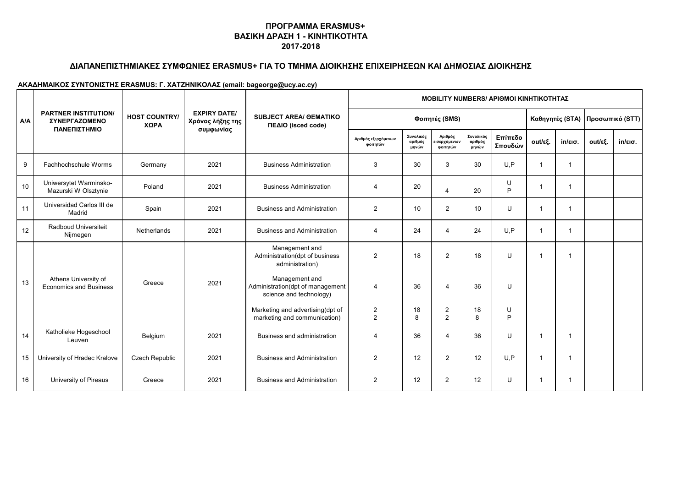# **ΔΙΑΠΑΝΕΠΙΣΤΗΜΙΑΚΕΣ ΣΥΜΦΩΝΙΕΣ ERASMUS+ ΓΙΑ ΤΟ ΤΜΗΜΑ ΔΙΟΙΚΗΣΗΣ ΕΠΙΧΕΙΡΗΣΕΩΝ ΚΑΙ ΔΗΜΟΣΙΑΣ ΔΙΟΙΚΗΣΗΣ**

|            | <b>PARTNER INSTITUTION/</b><br><b><i>ΣΥΝΕΡΓΑΖΟΜΕΝΟ</i></b><br>ΠΑΝΕΠΙΣΤΗΜΙΟ | <b>HOST COUNTRY/</b><br>ΧΩΡΑ |                                                      | <b>SUBJECT AREA/ OEMATIKO</b><br>ΠΕΔΙΟ (isced code)                           | <b>MOBILITY NUMBERS/ APIOMOI KINHTIKOTHTAZ</b> |                               |                                     |                               |                    |             |                   |                                   |                   |  |
|------------|----------------------------------------------------------------------------|------------------------------|------------------------------------------------------|-------------------------------------------------------------------------------|------------------------------------------------|-------------------------------|-------------------------------------|-------------------------------|--------------------|-------------|-------------------|-----------------------------------|-------------------|--|
| <b>A/A</b> |                                                                            |                              | <b>EXPIRY DATE/</b><br>Χρόνος λήξης της<br>συμφωνίας |                                                                               |                                                |                               | Φοιτητές (SMS)                      |                               |                    |             |                   | Καθηγητές (STA)   Προσωπικό (STT) |                   |  |
|            |                                                                            |                              |                                                      |                                                                               | Αριθμός εξερχόμενων<br>φοιτητών                | Συνολικός<br>αριθμός<br>μηνών | Αριθμός<br>εισερχόμενων<br>φοιτητών | Συνολικός<br>αριθμός<br>μηνών | Επίπεδο<br>Σπουδών | out/εξ.     | $in/\epsilon$ ισ. | out/εξ.                           | $in/\epsilon$ ισ. |  |
| 9          | Fachhochschule Worms                                                       | Germany                      | 2021                                                 | <b>Business Administration</b>                                                | 3                                              | 30                            | 3                                   | 30                            | U.P                | -1          | $\mathbf 1$       |                                   |                   |  |
| 10         | Uniwersytet Warminsko-<br>Mazurski W Olsztynie                             | Poland                       | 2021                                                 | <b>Business Administration</b>                                                | $\overline{4}$                                 | 20                            | $\overline{4}$                      | 20                            | U<br>P             | $\mathbf 1$ | $\mathbf 1$       |                                   |                   |  |
| 11         | Universidad Carlos III de<br>Madrid                                        | Spain                        | 2021                                                 | <b>Business and Administration</b>                                            | $\overline{2}$                                 | 10                            | $\overline{2}$                      | 10                            | U                  | -1          | 1                 |                                   |                   |  |
| 12         | Radboud Universiteit<br>Nijmegen                                           | <b>Netherlands</b>           | 2021                                                 | <b>Business and Administration</b>                                            | 4                                              | 24                            | $\overline{a}$                      | 24                            | U.P                | -1          | $\mathbf 1$       |                                   |                   |  |
|            | Athens University of<br><b>Economics and Business</b>                      | Greece                       |                                                      | Management and<br>Administration(dpt of business<br>administration)           | $\overline{2}$                                 | 18                            | $\overline{2}$                      | 18                            | U                  | $\mathbf 1$ | $\mathbf 1$       |                                   |                   |  |
| 13         |                                                                            |                              | 2021                                                 | Management and<br>Administration(dpt of management<br>science and technology) | $\overline{4}$                                 | 36                            | $\overline{4}$                      | 36                            | U                  |             |                   |                                   |                   |  |
|            |                                                                            |                              |                                                      | Marketing and advertising(dpt of<br>marketing and communication)              | $\overline{c}$<br>$\overline{2}$               | 18<br>8                       | $\overline{2}$<br>$\overline{2}$    | 18<br>8                       | U<br>P             |             |                   |                                   |                   |  |
| 14         | Katholieke Hogeschool<br>Leuven                                            | Belgium                      | 2021                                                 | Business and administration                                                   | 4                                              | 36                            | $\overline{4}$                      | 36                            | U                  | $\mathbf 1$ | $\mathbf 1$       |                                   |                   |  |
| 15         | University of Hradec Kralove                                               | <b>Czech Republic</b>        | 2021                                                 | <b>Business and Administration</b>                                            | $\overline{2}$                                 | 12                            | $\overline{2}$                      | 12                            | U.P                | -1          | 1                 |                                   |                   |  |
| 16         | University of Pireaus                                                      | Greece                       | 2021                                                 | <b>Business and Administration</b>                                            | 2                                              | 12                            | 2                                   | 12                            | U                  | $\mathbf 1$ | 1                 |                                   |                   |  |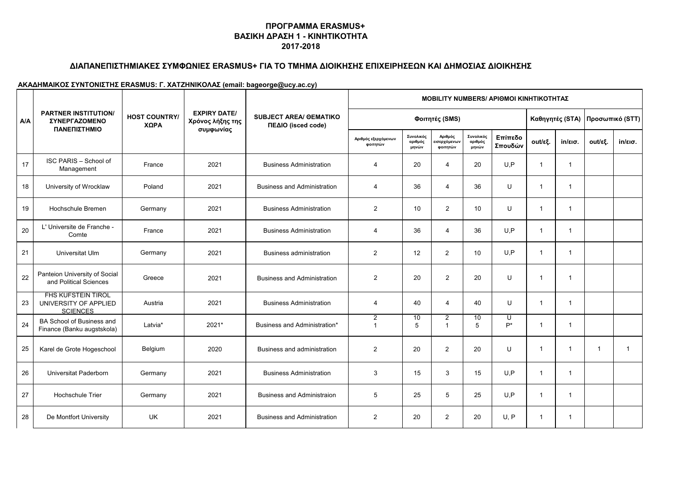# **ΔΙΑΠΑΝΕΠΙΣΤΗΜΙΑΚΕΣ ΣΥΜΦΩΝΙΕΣ ERASMUS+ ΓΙΑ ΤΟ ΤΜΗΜΑ ΔΙΟΙΚΗΣΗΣ ΕΠΙΧΕΙΡΗΣΕΩΝ ΚΑΙ ΔΗΜΟΣΙΑΣ ΔΙΟΙΚΗΣΗΣ**

|            | <b>PARTNER INSTITUTION/</b><br><b>ΣΥΝΕΡΓΑΖΟΜΕΝΟ</b><br>ΠΑΝΕΠΙΣΤΗΜΙΟ   | <b>HOST COUNTRY/</b><br>ΧΩΡΑ |                                                      | <b>SUBJECT AREA/ OEMATIKO</b><br>ΠΕΔΙΟ (isced code) | <b>ΜΟΒΙLIΤΥ NUMBERS/ ΑΡΙΘΜΟΙ ΚΙΝΗΤΙΚΟΤΗΤΑΣ</b> |                               |                                     |                               |                    |                         |                         |                                   |                   |  |  |
|------------|-----------------------------------------------------------------------|------------------------------|------------------------------------------------------|-----------------------------------------------------|------------------------------------------------|-------------------------------|-------------------------------------|-------------------------------|--------------------|-------------------------|-------------------------|-----------------------------------|-------------------|--|--|
| <b>A/A</b> |                                                                       |                              | <b>EXPIRY DATE/</b><br>Χρόνος λήξης της<br>συμφωνίας |                                                     |                                                |                               | Φοιτητές (SMS)                      |                               |                    |                         |                         | Καθηγητές (STA)   Προσωπικό (STT) |                   |  |  |
|            |                                                                       |                              |                                                      |                                                     | Αριθμός εξερχόμενων<br>φοιτητών                | Συνολικός<br>αριθμός<br>μηνών | Αριθμός<br>εισερχόμενων<br>φοιτητών | Συνολικός<br>αριθμός<br>μηνών | Επίπεδο<br>Σπουδών | out/εξ.                 | $in/\epsilon$ ισ.       | out/εξ.                           | $in/\epsilon$ ισ. |  |  |
| 17         | <b>ISC PARIS - School of</b><br>Management                            | France                       | 2021                                                 | <b>Business Administration</b>                      | $\overline{4}$                                 | 20                            | $\overline{4}$                      | 20                            | U, P               | $\overline{\mathbf{1}}$ | $\overline{1}$          |                                   |                   |  |  |
| 18         | University of Wrocklaw                                                | Poland                       | 2021                                                 | <b>Business and Administration</b>                  | 4                                              | 36                            | $\overline{4}$                      | 36                            | U                  | $\overline{1}$          | $\mathbf{1}$            |                                   |                   |  |  |
| 19         | Hochschule Bremen                                                     | Germany                      | 2021                                                 | <b>Business Administration</b>                      | $\overline{2}$                                 | 10                            | $\overline{2}$                      | 10                            | U                  | $\overline{1}$          | $\mathbf{1}$            |                                   |                   |  |  |
| 20         | L' Universite de Franche -<br>Comte                                   | France                       | 2021                                                 | <b>Business Administration</b>                      | 4                                              | 36                            | 4                                   | 36                            | U, P               | $\overline{1}$          | -1                      |                                   |                   |  |  |
| 21         | Universitat Ulm                                                       | Germany                      | 2021                                                 | <b>Business administration</b>                      | 2                                              | 12                            | 2                                   | 10                            | U, P               | $\overline{1}$          | $\mathbf{1}$            |                                   |                   |  |  |
| 22         | Panteion University of Social<br>and Political Sciences               | Greece                       | 2021                                                 | <b>Business and Administration</b>                  | $\overline{2}$                                 | 20                            | 2                                   | 20                            | U                  | $\overline{1}$          | -1                      |                                   |                   |  |  |
| 23         | <b>FHS KUFSTEIN TIROL</b><br>UNIVERSITY OF APPLIED<br><b>SCIENCES</b> | Austria                      | 2021                                                 | <b>Business Administration</b>                      | $\overline{4}$                                 | 40                            | $\overline{4}$                      | 40                            | U                  | $\overline{1}$          | $\mathbf{1}$            |                                   |                   |  |  |
| 24         | BA School of Business and<br>Finance (Banku augstskola)               | Latvia*                      | 2021*                                                | Business and Administration*                        | 2<br>$\overline{1}$                            | 10<br>5                       | $\overline{2}$<br>$\overline{1}$    | 10<br>5                       | U<br>$P^*$         | $\overline{1}$          | $\mathbf{1}$            |                                   |                   |  |  |
| 25         | Karel de Grote Hogeschool                                             | Belgium                      | 2020                                                 | Business and administration                         | $\overline{2}$                                 | 20                            | $\overline{2}$                      | 20                            | U                  | $\overline{\mathbf{1}}$ | $\overline{\mathbf{1}}$ | $\mathbf 1$                       | $\mathbf{1}$      |  |  |
| 26         | Universitat Paderborn                                                 | Germany                      | 2021                                                 | <b>Business Administration</b>                      | 3                                              | 15                            | 3                                   | 15                            | U.P                | $\overline{1}$          | $\mathbf{1}$            |                                   |                   |  |  |
| 27         | <b>Hochschule Trier</b>                                               | Germany                      | 2021                                                 | <b>Business and Administraion</b>                   | 5                                              | 25                            | 5                                   | 25                            | U, P               | $\overline{1}$          | $\mathbf{1}$            |                                   |                   |  |  |
| 28         | De Montfort University                                                | UK                           | 2021                                                 | <b>Business and Administration</b>                  | 2                                              | 20                            | $\overline{2}$                      | 20                            | U, P               | $\overline{1}$          | $\mathbf{1}$            |                                   |                   |  |  |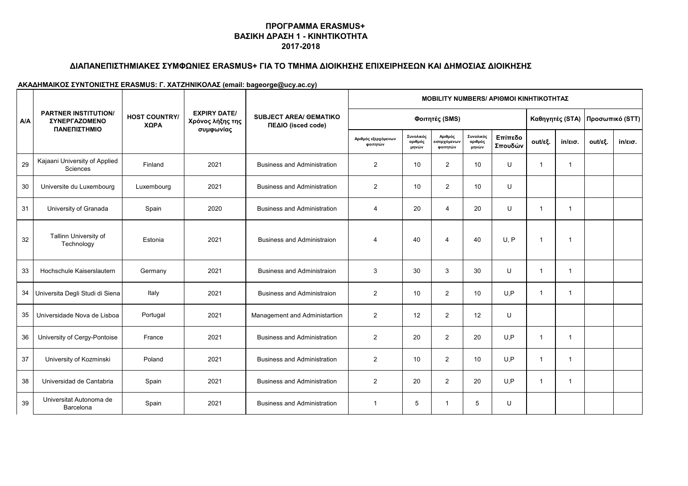## **ΔΙΑΠΑΝΕΠΙΣΤΗΜΙΑΚΕΣ ΣΥΜΦΩΝΙΕΣ ERASMUS+ ΓΙΑ ΤΟ ΤΜΗΜΑ ΔΙΟΙΚΗΣΗΣ ΕΠΙΧΕΙΡΗΣΕΩΝ ΚΑΙ ΔΗΜΟΣΙΑΣ ΔΙΟΙΚΗΣΗΣ**

|            | <b>PARTNER INSTITUTION/</b><br><b><i>ΣΥΝΕΡΓΑΖΟΜΕΝΟ</i></b><br>ΠΑΝΕΠΙΣΤΗΜΙΟ | <b>HOST COUNTRY/</b><br>ΧΩΡΑ | <b>EXPIRY DATE/</b><br>Χρόνος λήξης της<br>συμφωνίας | <b>SUBJECT AREA/ OEMATIKO</b><br>ΠΕΔΙΟ (isced code) | <b>ΜΟΒΙLIΤΥ NUMBERS/ ΑΡΙΘΜΟΙ ΚΙΝΗΤΙΚΟΤΗΤΑΣ</b> |                               |                                     |                               |                    |                 |                   |                 |                   |  |
|------------|----------------------------------------------------------------------------|------------------------------|------------------------------------------------------|-----------------------------------------------------|------------------------------------------------|-------------------------------|-------------------------------------|-------------------------------|--------------------|-----------------|-------------------|-----------------|-------------------|--|
| <b>A/A</b> |                                                                            |                              |                                                      |                                                     | Φοιτητές (SMS)                                 |                               |                                     |                               |                    | Καθηγητές (STA) |                   | Προσωπικό (STT) |                   |  |
|            |                                                                            |                              |                                                      |                                                     | Αριθμός εξερχόμενων<br>φοιτητών                | Συνολικός<br>αριθμός<br>μηνών | Αριθμός<br>εισερχόμενων<br>φοιτητών | Συνολικός<br>αριθμός<br>μηνών | Επίπεδο<br>Σπουδών | out/εξ.         | $in/\epsilon$ ισ. | out/εξ.         | $in/\epsilon$ ισ. |  |
| 29         | Kajaani University of Applied<br>Sciences                                  | Finland                      | 2021                                                 | <b>Business and Administration</b>                  | 2                                              | 10                            | $\overline{2}$                      | 10                            | U                  | -1              | $\mathbf{1}$      |                 |                   |  |
| 30         | Universite du Luxembourg                                                   | Luxembourg                   | 2021                                                 | <b>Business and Administration</b>                  | $\overline{2}$                                 | 10                            | 2                                   | 10                            | U                  |                 |                   |                 |                   |  |
| 31         | University of Granada                                                      | Spain                        | 2020                                                 | <b>Business and Administration</b>                  | 4                                              | 20                            | $\overline{4}$                      | 20                            | U                  | $\overline{1}$  | $\mathbf{1}$      |                 |                   |  |
| 32         | Tallinn University of<br>Technology                                        | Estonia                      | 2021                                                 | <b>Business and Administraion</b>                   | 4                                              | 40                            | $\overline{4}$                      | 40                            | U.P                | -1              | $\mathbf{1}$      |                 |                   |  |
| 33         | Hochschule Kaiserslautern                                                  | Germany                      | 2021                                                 | <b>Business and Administraion</b>                   | 3                                              | 30                            | 3                                   | 30                            | U                  | $\overline{1}$  | $\mathbf{1}$      |                 |                   |  |
|            | 34 Universita Degli Studi di Siena                                         | Italy                        | 2021                                                 | <b>Business and Administraion</b>                   | $\overline{2}$                                 | 10                            | $\overline{2}$                      | 10                            | U, P               | $\overline{1}$  | $\mathbf{1}$      |                 |                   |  |
| 35         | Universidade Nova de Lisboa                                                | Portugal                     | 2021                                                 | Management and Administartion                       | $\overline{2}$                                 | 12                            | $\overline{2}$                      | 12                            | U                  |                 |                   |                 |                   |  |
| 36         | University of Cergy-Pontoise                                               | France                       | 2021                                                 | <b>Business and Administration</b>                  | $\overline{2}$                                 | 20                            | $\overline{2}$                      | 20                            | U.P                | $\overline{1}$  | $\mathbf{1}$      |                 |                   |  |
| 37         | University of Kozminski                                                    | Poland                       | 2021                                                 | <b>Business and Administration</b>                  | $\overline{2}$                                 | 10                            | $\overline{2}$                      | 10                            | U, P               | $\overline{1}$  | $\mathbf{1}$      |                 |                   |  |
| 38         | Universidad de Cantabria                                                   | Spain                        | 2021                                                 | <b>Business and Administration</b>                  | $\overline{2}$                                 | 20                            | $\overline{2}$                      | 20                            | U, P               | $\overline{1}$  | $\mathbf{1}$      |                 |                   |  |
| 39         | Universitat Autonoma de<br>Barcelona                                       | Spain                        | 2021                                                 | <b>Business and Administration</b>                  | -1                                             | 5                             |                                     | 5                             | U                  |                 |                   |                 |                   |  |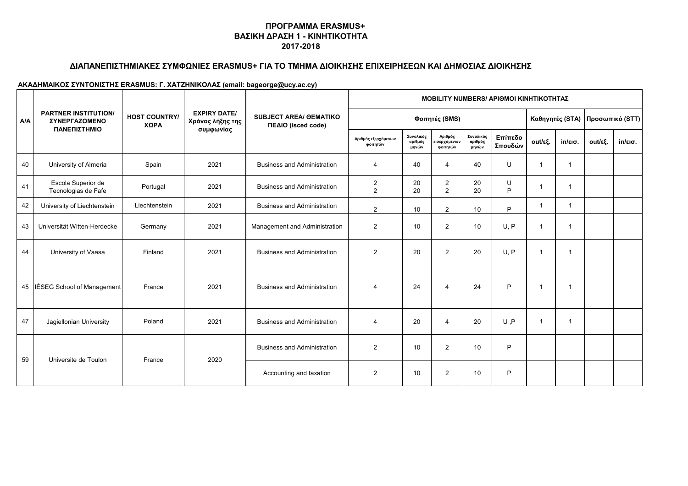# **ΔΙΑΠΑΝΕΠΙΣΤΗΜΙΑΚΕΣ ΣΥΜΦΩΝΙΕΣ ERASMUS+ ΓΙΑ ΤΟ ΤΜΗΜΑ ΔΙΟΙΚΗΣΗΣ ΕΠΙΧΕΙΡΗΣΕΩΝ ΚΑΙ ΔΗΜΟΣΙΑΣ ΔΙΟΙΚΗΣΗΣ**

|     | <b>PARTNER INSTITUTION/</b><br><b><i>ΣΥΝΕΡΓΑΖΟΜΕΝΟ</i></b><br>ΠΑΝΕΠΙΣΤΗΜΙΟ |                              |                                                      | <b>SUBJECT AREA/ OEMATIKO</b><br>ΠΕΔΙΟ (isced code) | <b>MOBILITY NUMBERS/ APIOMOI KINHTIKOTHTAZ</b> |                               |                                     |                               |                    |                |                   |                                   |                   |  |
|-----|----------------------------------------------------------------------------|------------------------------|------------------------------------------------------|-----------------------------------------------------|------------------------------------------------|-------------------------------|-------------------------------------|-------------------------------|--------------------|----------------|-------------------|-----------------------------------|-------------------|--|
| A/A |                                                                            | <b>HOST COUNTRY/</b><br>ΧΩΡΑ | <b>EXPIRY DATE/</b><br>Χρόνος λήξης της<br>συμφωνίας |                                                     | Φοιτητές (SMS)                                 |                               |                                     |                               |                    |                |                   | Καθηγητές (STA)   Προσωπικό (STT) |                   |  |
|     |                                                                            |                              |                                                      |                                                     | Αριθμός εξερχόμενων<br>φοιτητών                | Συνολικός<br>αριθμός<br>μηνών | Αριθμός<br>εισερχόμενων<br>φοιτητών | Συνολικός<br>αριθμός<br>μηνών | Επίπεδο<br>Σπουδών | out/εξ.        | $in/\epsilon$ ισ. | out/εξ.                           | $in/\epsilon$ ισ. |  |
| 40  | University of Almeria                                                      | Spain                        | 2021                                                 | <b>Business and Administration</b>                  | $\overline{4}$                                 | 40                            | $\overline{4}$                      | 40                            | U                  | -1             | $\mathbf 1$       |                                   |                   |  |
| 41  | Escola Superior de<br>Tecnologias de Fafe                                  | Portugal                     | 2021                                                 | <b>Business and Administration</b>                  | $\overline{c}$<br>2                            | 20<br>20                      | $\overline{2}$<br>2                 | 20<br>20                      | U<br>P             | -1             | -1                |                                   |                   |  |
| 42  | University of Liechtenstein                                                | Liechtenstein                | 2021                                                 | <b>Business and Administration</b>                  | $\overline{2}$                                 | 10                            | 2                                   | 10                            | P                  | $\mathbf 1$    | -1                |                                   |                   |  |
| 43  | Universität Witten-Herdecke                                                | Germany                      | 2021                                                 | Management and Administration                       | $\overline{2}$                                 | 10                            | $\overline{2}$                      | 10                            | U.P                | -1             | $\mathbf 1$       |                                   |                   |  |
| 44  | University of Vaasa                                                        | Finland                      | 2021                                                 | <b>Business and Administration</b>                  | $\overline{2}$                                 | 20                            | $\overline{2}$                      | 20                            | U.P                | -1             | -1                |                                   |                   |  |
|     | 45   IÉSEG School of Management                                            | France                       | 2021                                                 | <b>Business and Administration</b>                  | $\overline{4}$                                 | 24                            | $\overline{4}$                      | 24                            | P                  | $\overline{1}$ | $\mathbf 1$       |                                   |                   |  |
| 47  | Jagiellonian University                                                    | Poland                       | 2021                                                 | <b>Business and Administration</b>                  | 4                                              | 20                            | $\overline{4}$                      | 20                            | U, P               | -1             | -1                |                                   |                   |  |
|     |                                                                            |                              |                                                      | <b>Business and Administration</b>                  | 2                                              | 10                            | $\overline{2}$                      | 10                            | P                  |                |                   |                                   |                   |  |
| 59  | Universite de Toulon                                                       | France                       | 2020                                                 | Accounting and taxation                             | 2                                              | 10                            | $\overline{2}$                      | 10                            | P                  |                |                   |                                   |                   |  |